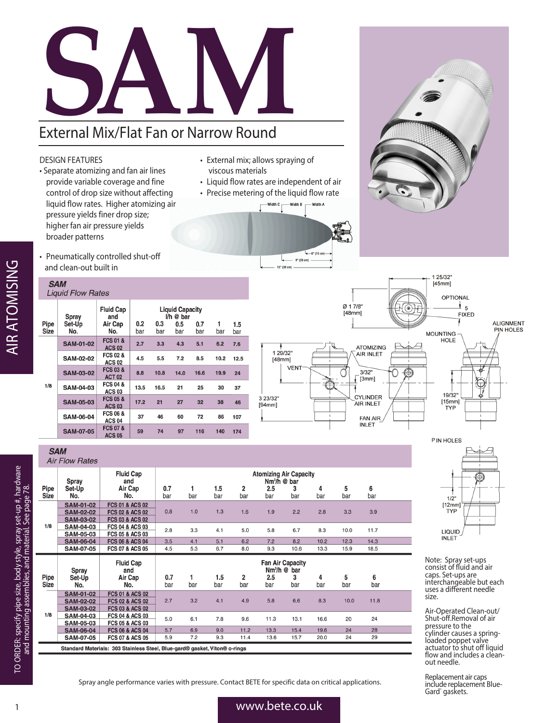# External Mix/Flat Fan or Narrow Round

## DESIGN FEATURES

- Separate atomizing and fan air lines provide variable coverage and fine control of drop size without affecting liquid flow rates. Higher atomizing air pressure yields finer drop size; higher fan air pressure yields broader patterns
- External mix; allows spraying of viscous materials
- Liquid flow rates are independent of air
- Precise metering of the liquid flow rate
	- -Width C Width B - Width A



**Atomizing Air Capacity** 

 $Nm<sup>3</sup>$ /h @ bar

1 25/32"<br>[45mm]

• Pneumatically controlled shut-off and clean-out built in

### **SAM Liquid Flow Rates**

**SAM Air Flow Rates** 

Spray

| Pipe<br><b>Size</b> | Spray<br>Set-Up<br>No. | <b>Fluid Cap</b><br>and<br>Air Cap<br>No. | 0.2<br>bar | 0.3<br>bar | <b>Liquid Capacity</b><br>$l/h$ @ bar<br>0.5<br>bar | 0.7<br>bar | 1<br>bar | 1.5<br>bar |
|---------------------|------------------------|-------------------------------------------|------------|------------|-----------------------------------------------------|------------|----------|------------|
| 1/8                 | <b>SAM-01-02</b>       | <b>FCS 01 &amp;</b><br><b>ACS 02</b>      | 2.7        | 3.3        | 4.3                                                 | 5.1        | 6.2      | 7.6        |
|                     | <b>SAM-02-02</b>       | <b>FCS 02 &amp;</b><br><b>ACS 02</b>      | 4.5        | 5.5        | 7.2                                                 | 8.5        | 10.2     | 12.5       |
|                     | <b>SAM-03-02</b>       | <b>FCS 03 &amp;</b><br><b>ACT 02</b>      | 8.8        | 10.8       | 14.0                                                | 16.6       | 19.9     | 24         |
|                     | <b>SAM-04-03</b>       | <b>FCS 04 &amp;</b><br><b>ACS 03</b>      | 13.5       | 16.5       | 21                                                  | 25         | 30       | 37         |
|                     | <b>SAM-05-03</b>       | <b>FCS 05 &amp;</b><br><b>ACS 03</b>      | 17.2       | 21         | 27                                                  | 32         | 38       | 46         |
|                     | <b>SAM-06-04</b>       | <b>FCS 06 &amp;</b><br><b>ACS 04</b>      | 37         | 46         | 60                                                  | 72         | 86       | 107        |
|                     | <b>SAM-07-05</b>       | <b>FCS 07 &amp;</b><br><b>ACS 05</b>      | 59         | 74         | 97                                                  | 116        | 140      | 174        |

**Fluid Cap** 

and



**ALIGNMENT** PIN HOLES



|                     | <b>Upiuj</b>     |                            | $1111111 \times 1011$ |     |            |          |            |          |          |          |          |  |  |
|---------------------|------------------|----------------------------|-----------------------|-----|------------|----------|------------|----------|----------|----------|----------|--|--|
| Pipe<br><b>Size</b> | Set-Up<br>No.    | Air Cap<br>No.             | 0.7<br>bar            | bar | 1.5<br>bar | 2<br>bar | 2.5<br>bar | 3<br>bar | 4<br>bar | 5<br>bar | 6<br>bar |  |  |
|                     |                  |                            |                       |     |            |          |            |          |          |          |          |  |  |
| 1/8                 | <b>SAM-01-02</b> | <b>FCS 01 &amp; ACS 02</b> |                       | 1.0 | 1.3        |          | 1.9        | 2.2      | 2.8      | 3.3      |          |  |  |
|                     | <b>SAM-02-02</b> | <b>FCS 02 &amp; ACS 02</b> | 0.8                   |     |            | 1.6      |            |          |          |          | 3.9      |  |  |
|                     | <b>SAM-03-02</b> | <b>FCS 03 &amp; ACS 02</b> |                       |     |            |          |            |          |          |          |          |  |  |
|                     | <b>SAM-04-03</b> | <b>FCS 04 &amp; ACS 03</b> | 2.8                   | 3.3 | 4.1        | 5.0      | 5.8        | 6.7      | 8.3      | 10.0     | 11.7     |  |  |
|                     | <b>SAM-05-03</b> | <b>FCS 05 &amp; ACS 03</b> |                       |     |            |          |            |          |          |          |          |  |  |
|                     | <b>SAM-06-04</b> | <b>FCS 06 &amp; ACS 04</b> | 3.5                   | 4.1 | 5.1        | 6.2      | 7.2        | 8.2      | 10.2     | 12.3     | 14.3     |  |  |
|                     | <b>SAM-07-05</b> | <b>FCS 07 &amp; ACS 05</b> | 4.5                   | 5.3 | 6.7        | 8.0      | 9.3        | 10.6     | 13.3     | 15.9     | 18.5     |  |  |

| Pipe<br><b>Size</b>                                                        | Spray<br>Set-Up<br>No.               | <b>Fluid Cap</b><br>and<br>Air Cap<br>No.                | 0.7<br>bar | bar | 1.5<br>bar | 2<br>bar | <b>Fan Air Capacity</b><br>$Nm3/h$ @ bar<br>2.5<br>bar | 3<br>bar | 4<br>bar | 5<br>bar | 6<br>bar |  |
|----------------------------------------------------------------------------|--------------------------------------|----------------------------------------------------------|------------|-----|------------|----------|--------------------------------------------------------|----------|----------|----------|----------|--|
|                                                                            | <b>SAM-01-02</b>                     | <b>FCS 01 &amp; ACS 02</b>                               |            |     |            |          |                                                        |          |          |          |          |  |
|                                                                            | <b>SAM-02-02</b><br><b>SAM-03-02</b> | <b>FCS 02 &amp; ACS 02</b><br><b>FCS 03 &amp; ACS 02</b> | 2.7        | 3.2 | 4.1        | 4.9      | 5.8                                                    | 6.6      | 8.3      | 10.0     | 11.8     |  |
| 1/8                                                                        | <b>SAM-04-03</b>                     | <b>FCS 04 &amp; ACS 03</b>                               | 5.0        | 6.1 | 7.8        | 9.6      | 11.3                                                   | 13.1     | 16.6     | 20       | 24       |  |
|                                                                            | <b>SAM-05-03</b>                     | <b>FCS 05 &amp; ACS 03</b>                               |            |     |            |          |                                                        |          |          |          |          |  |
|                                                                            | <b>SAM-06-04</b>                     | <b>FCS 06 &amp; ACS 04</b>                               | 5.7        | 6.9 | 9.0        | 11.2     | 13.3                                                   | 15.4     | 19.6     | 24       | 28       |  |
|                                                                            | <b>SAM-07-05</b>                     | <b>FCS 07 &amp; ACS 05</b>                               | 5.9        | 7.2 | 9.3        | 11.4     | 13.6                                                   | 15.7     | 20.0     | 24       | 29       |  |
| Standard Materials: 303 Stainless Steel, Blue-gard® gasket, Viton® o-rings |                                      |                                                          |            |     |            |          |                                                        |          |          |          |          |  |



Note: Spray set-ups consist of fluid and air caps. Set-ups are interchangeable but each uses a different needle size.

Air-Operated Clean-out/ Shut-off.Removal of air pressure to the cylinder causes a springloaded poppet valve actuator to shut off liquid flow and includes a cleanout needle.

Replacement air caps include replacement Blue-Gard® gaskets.

## **AIR ATOMISING** AIR ATOMISING